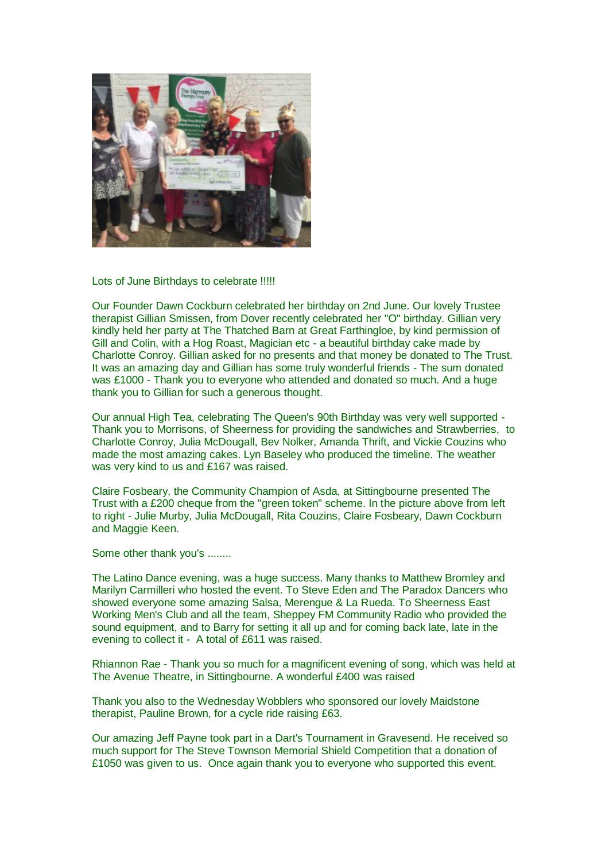

## Lots of June Birthdays to celebrate !!!!!

Our Founder Dawn Cockburn celebrated her birthday on 2nd June. Our lovely Trustee therapist Gillian Smissen, from Dover recently celebrated her "O" birthday. Gillian very kindly held her party at The Thatched Barn at Great Farthingloe, by kind permission of Gill and Colin, with a Hog Roast, Magician etc - a beautiful birthday cake made by Charlotte Conroy. Gillian asked for no presents and that money be donated to The Trust. It was an amazing day and Gillian has some truly wonderful friends - The sum donated was £1000 - Thank you to everyone who attended and donated so much. And a huge thank you to Gillian for such a generous thought.

Our annual High Tea, celebrating The Queen's 90th Birthday was very well supported - Thank you to Morrisons, of Sheerness for providing the sandwiches and Strawberries, to Charlotte Conroy, Julia McDougall, Bev Nolker, Amanda Thrift, and Vickie Couzins who made the most amazing cakes. Lyn Baseley who produced the timeline. The weather was very kind to us and £167 was raised.

Claire Fosbeary, the Community Champion of Asda, at Sittingbourne presented The Trust with a £200 cheque from the "green token" scheme. In the picture above from left to right - Julie Murby, Julia McDougall, Rita Couzins, Claire Fosbeary, Dawn Cockburn and Maggie Keen.

Some other thank you's ........

The Latino Dance evening, was a huge success. Many thanks to Matthew Bromley and Marilyn Carmilleri who hosted the event. To Steve Eden and The Paradox Dancers who showed everyone some amazing Salsa, Merengue & La Rueda. To Sheerness East Working Men's Club and all the team, Sheppey FM Community Radio who provided the sound equipment, and to Barry for setting it all up and for coming back late, late in the evening to collect it - A total of £611 was raised.

Rhiannon Rae - Thank you so much for a magnificent evening of song, which was held at The Avenue Theatre, in Sittingbourne. A wonderful £400 was raised

Thank you also to the Wednesday Wobblers who sponsored our lovely Maidstone therapist, Pauline Brown, for a cycle ride raising £63.

Our amazing Jeff Payne took part in a Dart's Tournament in Gravesend. He received so much support for The Steve Townson Memorial Shield Competition that a donation of £1050 was given to us. Once again thank you to everyone who supported this event.